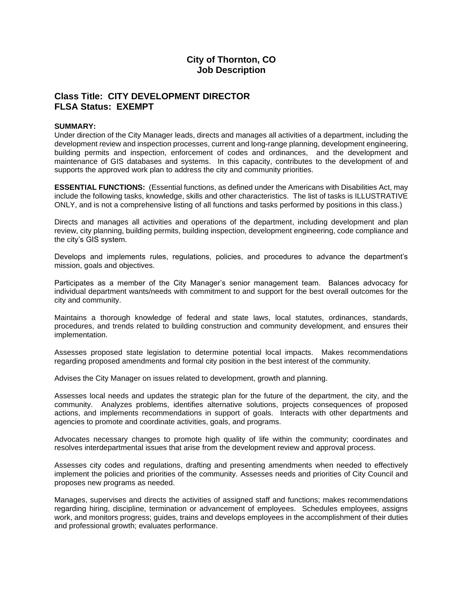# **City of Thornton, CO Job Description**

# **Class Title: CITY DEVELOPMENT DIRECTOR FLSA Status: EXEMPT**

#### **SUMMARY:**

Under direction of the City Manager leads, directs and manages all activities of a department, including the development review and inspection processes, current and long-range planning, development engineering, building permits and inspection, enforcement of codes and ordinances, and the development and maintenance of GIS databases and systems. In this capacity, contributes to the development of and supports the approved work plan to address the city and community priorities.

**ESSENTIAL FUNCTIONS:** (Essential functions, as defined under the Americans with Disabilities Act, may include the following tasks, knowledge, skills and other characteristics. The list of tasks is ILLUSTRATIVE ONLY, and is not a comprehensive listing of all functions and tasks performed by positions in this class.)

Directs and manages all activities and operations of the department, including development and plan review, city planning, building permits, building inspection, development engineering, code compliance and the city's GIS system.

Develops and implements rules, regulations, policies, and procedures to advance the department's mission, goals and objectives.

Participates as a member of the City Manager's senior management team. Balances advocacy for individual department wants/needs with commitment to and support for the best overall outcomes for the city and community.

Maintains a thorough knowledge of federal and state laws, local statutes, ordinances, standards, procedures, and trends related to building construction and community development, and ensures their implementation.

Assesses proposed state legislation to determine potential local impacts. Makes recommendations regarding proposed amendments and formal city position in the best interest of the community.

Advises the City Manager on issues related to development, growth and planning.

Assesses local needs and updates the strategic plan for the future of the department, the city, and the community. Analyzes problems, identifies alternative solutions, projects consequences of proposed actions, and implements recommendations in support of goals. Interacts with other departments and agencies to promote and coordinate activities, goals, and programs.

Advocates necessary changes to promote high quality of life within the community; coordinates and resolves interdepartmental issues that arise from the development review and approval process.

Assesses city codes and regulations, drafting and presenting amendments when needed to effectively implement the policies and priorities of the community. Assesses needs and priorities of City Council and proposes new programs as needed.

Manages, supervises and directs the activities of assigned staff and functions; makes recommendations regarding hiring, discipline, termination or advancement of employees. Schedules employees, assigns work, and monitors progress; guides, trains and develops employees in the accomplishment of their duties and professional growth; evaluates performance.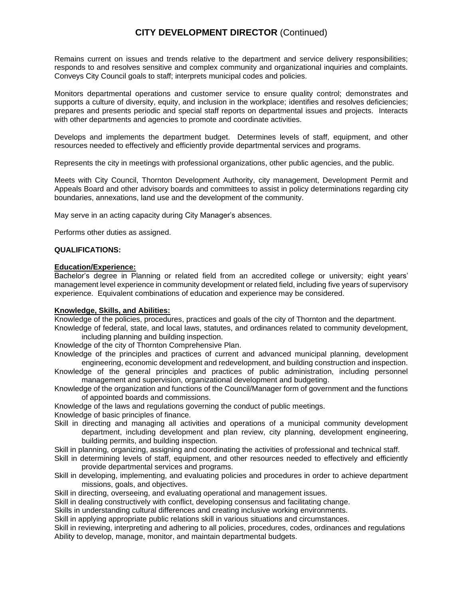# **CITY DEVELOPMENT DIRECTOR** (Continued)

Remains current on issues and trends relative to the department and service delivery responsibilities; responds to and resolves sensitive and complex community and organizational inquiries and complaints. Conveys City Council goals to staff; interprets municipal codes and policies.

Monitors departmental operations and customer service to ensure quality control; demonstrates and supports a culture of diversity, equity, and inclusion in the workplace; identifies and resolves deficiencies; prepares and presents periodic and special staff reports on departmental issues and projects. Interacts with other departments and agencies to promote and coordinate activities.

Develops and implements the department budget. Determines levels of staff, equipment, and other resources needed to effectively and efficiently provide departmental services and programs.

Represents the city in meetings with professional organizations, other public agencies, and the public.

Meets with City Council, Thornton Development Authority, city management, Development Permit and Appeals Board and other advisory boards and committees to assist in policy determinations regarding city boundaries, annexations, land use and the development of the community.

May serve in an acting capacity during City Manager's absences.

Performs other duties as assigned.

#### **QUALIFICATIONS:**

## **Education/Experience:**

Bachelor's degree in Planning or related field from an accredited college or university; eight years' management level experience in community development or related field, including five years of supervisory experience. Equivalent combinations of education and experience may be considered.

#### **Knowledge, Skills, and Abilities:**

Knowledge of the policies, procedures, practices and goals of the city of Thornton and the department.

Knowledge of federal, state, and local laws, statutes, and ordinances related to community development, including planning and building inspection.

Knowledge of the city of Thornton Comprehensive Plan.

Knowledge of the principles and practices of current and advanced municipal planning, development engineering, economic development and redevelopment, and building construction and inspection.

Knowledge of the general principles and practices of public administration, including personnel management and supervision, organizational development and budgeting.

Knowledge of the organization and functions of the Council/Manager form of government and the functions of appointed boards and commissions.

Knowledge of the laws and regulations governing the conduct of public meetings.

Knowledge of basic principles of finance.

Skill in directing and managing all activities and operations of a municipal community development department, including development and plan review, city planning, development engineering, building permits, and building inspection.

Skill in planning, organizing, assigning and coordinating the activities of professional and technical staff.

Skill in determining levels of staff, equipment, and other resources needed to effectively and efficiently provide departmental services and programs.

Skill in developing, implementing, and evaluating policies and procedures in order to achieve department missions, goals, and objectives.

Skill in directing, overseeing, and evaluating operational and management issues.

Skill in dealing constructively with conflict, developing consensus and facilitating change.

Skills in understanding cultural differences and creating inclusive working environments.

Skill in applying appropriate public relations skill in various situations and circumstances.

Skill in reviewing, interpreting and adhering to all policies, procedures, codes, ordinances and regulations Ability to develop, manage, monitor, and maintain departmental budgets.